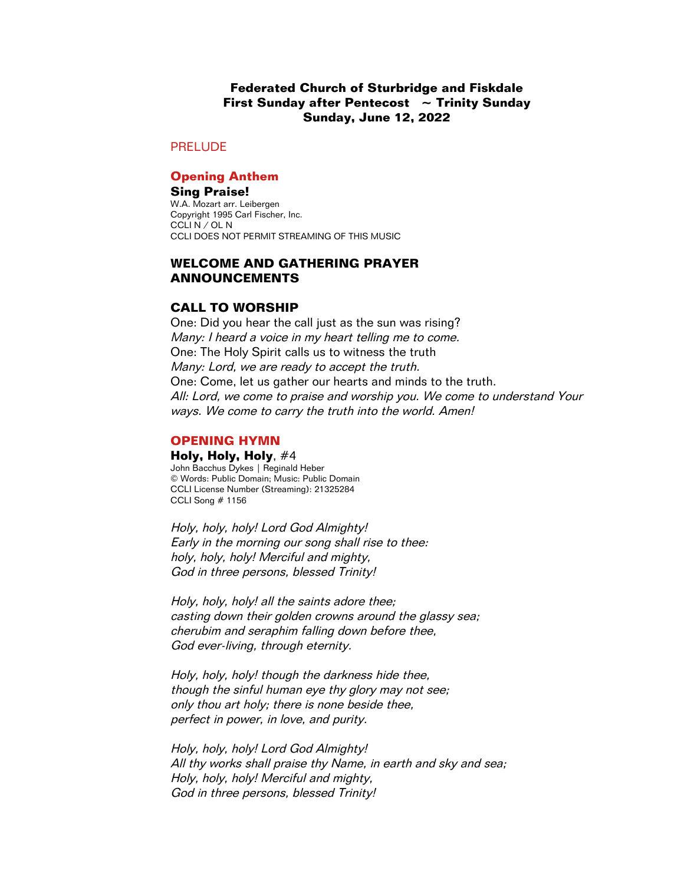## **Federated Church of Sturbridge and Fiskdale First Sunday after Pentecost ~ Trinity Sunday Sunday, June 12, 2022**

### PRELUDE

### **Opening Anthem**

**Sing Praise!** W.A. Mozart arr. Leibergen Copyright 1995 Carl Fischer, Inc. CCLI N / OL N CCLI DOES NOT PERMIT STREAMING OF THIS MUSIC

## **WELCOME AND GATHERING PRAYER ANNOUNCEMENTS**

## **CALL TO WORSHIP**

One: Did you hear the call just as the sun was rising? Many: I heard a voice in my heart telling me to come. One: The Holy Spirit calls us to witness the truth Many: Lord, we are ready to accept the truth. One: Come, let us gather our hearts and minds to the truth. All: Lord, we come to praise and worship you. We come to understand Your ways. We come to carry the truth into the world. Amen!

### **OPENING HYMN**

#### **Holy, Holy, Holy**, #4

John Bacchus Dykes | Reginald Heber © Words: Public Domain; Music: Public Domain CCLI License Number (Streaming): 21325284 CCLI Song # 1156

Holy, holy, holy! Lord God Almighty! Early in the morning our song shall rise to thee: holy, holy, holy! Merciful and mighty, God in three persons, blessed Trinity!

Holy, holy, holy! all the saints adore thee; casting down their golden crowns around the glassy sea; cherubim and seraphim falling down before thee, God ever-living, through eternity.

Holy, holy, holy! though the darkness hide thee, though the sinful human eye thy glory may not see; only thou art holy; there is none beside thee, perfect in power, in love, and purity.

Holy, holy, holy! Lord God Almighty! All thy works shall praise thy Name, in earth and sky and sea; Holy, holy, holy! Merciful and mighty, God in three persons, blessed Trinity!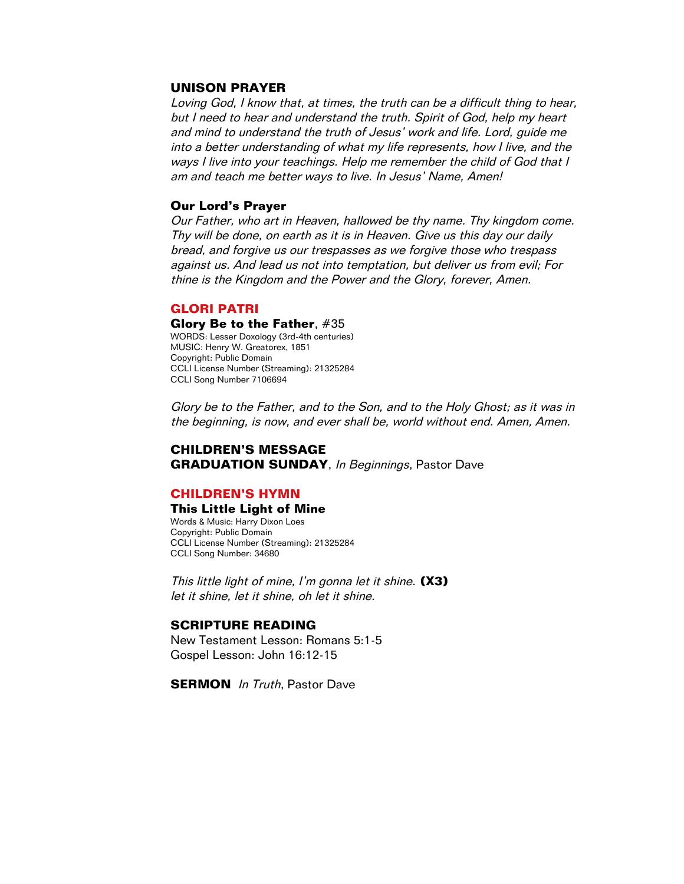## **UNISON PRAYER**

Loving God, I know that, at times, the truth can be a difficult thing to hear, but I need to hear and understand the truth. Spirit of God, help my heart and mind to understand the truth of Jesus' work and life. Lord, guide me into a better understanding of what my life represents, how I live, and the ways I live into your teachings. Help me remember the child of God that I am and teach me better ways to live. In Jesus' Name, Amen!

### **Our Lord's Prayer**

Our Father, who art in Heaven, hallowed be thy name. Thy kingdom come. Thy will be done, on earth as it is in Heaven. Give us this day our daily bread, and forgive us our trespasses as we forgive those who trespass against us. And lead us not into temptation, but deliver us from evil; For thine is the Kingdom and the Power and the Glory, forever, Amen.

## **GLORI PATRI**

#### **Glory Be to the Father**, #35

WORDS: Lesser Doxology (3rd-4th centuries) MUSIC: Henry W. Greatorex, 1851 Copyright: Public Domain CCLI License Number (Streaming): 21325284 CCLI Song Number 7106694

Glory be to the Father, and to the Son, and to the Holy Ghost; as it was in the beginning, is now, and ever shall be, world without end. Amen, Amen.

### **CHILDREN'S MESSAGE GRADUATION SUNDAY, In Beginnings, Pastor Dave**

### **CHILDREN'S HYMN**

### **This Little Light of Mine**

Words & Music: Harry Dixon Loes Copyright: Public Domain CCLI License Number (Streaming): 21325284 CCLI Song Number: 34680

This little light of mine, I'm gonna let it shine. **(X3)** let it shine, let it shine, oh let it shine.

#### **SCRIPTURE READING**

New Testament Lesson: Romans 5:1-5 Gospel Lesson: John 16:12-15

**SERMON** In Truth, Pastor Dave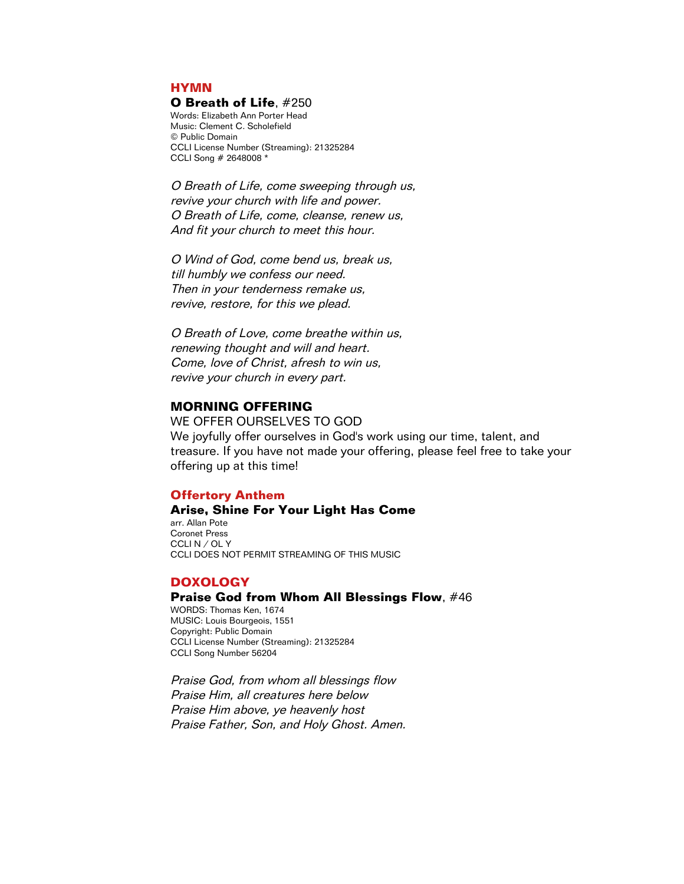### **HYMN**

#### **O Breath of Life**, #250

Words: Elizabeth Ann Porter Head Music: Clement C. Scholefield © Public Domain CCLI License Number (Streaming): 21325284 CCLI Song # 2648008 \*

O Breath of Life, come sweeping through us, revive your church with life and power. O Breath of Life, come, cleanse, renew us, And fit your church to meet this hour.

O Wind of God, come bend us, break us, till humbly we confess our need. Then in your tenderness remake us, revive, restore, for this we plead.

O Breath of Love, come breathe within us, renewing thought and will and heart. Come, love of Christ, afresh to win us, revive your church in every part.

## **MORNING OFFERING**

WE OFFER OURSELVES TO GOD We joyfully offer ourselves in God's work using our time, talent, and treasure. If you have not made your offering, please feel free to take your offering up at this time!

### **Offertory Anthem**

### **Arise, Shine For Your Light Has Come**

arr. Allan Pote Coronet Press CCLI N / OL Y CCLI DOES NOT PERMIT STREAMING OF THIS MUSIC

### **DOXOLOGY**

### **Praise God from Whom All Blessings Flow**, #46

WORDS: Thomas Ken, 1674 MUSIC: Louis Bourgeois, 1551 Copyright: Public Domain CCLI License Number (Streaming): 21325284 CCLI Song Number 56204

Praise God, from whom all blessings flow Praise Him, all creatures here below Praise Him above, ye heavenly host Praise Father, Son, and Holy Ghost. Amen.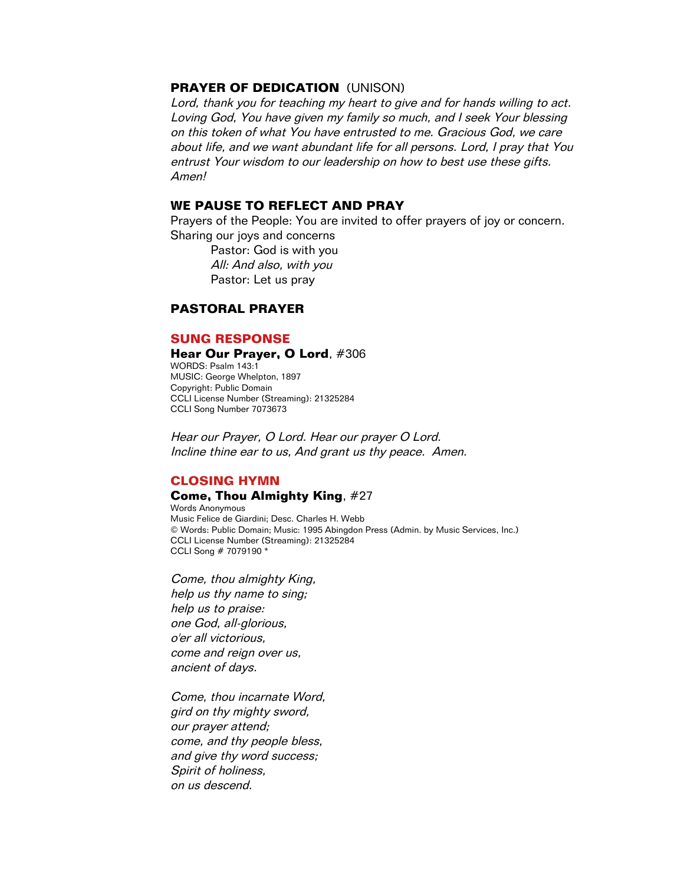# **PRAYER OF DEDICATION** (UNISON)

Lord, thank you for teaching my heart to give and for hands willing to act. Loving God, You have given my family so much, and I seek Your blessing on this token of what You have entrusted to me. Gracious God, we care about life, and we want abundant life for all persons. Lord, I pray that You entrust Your wisdom to our leadership on how to best use these gifts. Amen!

# **WE PAUSE TO REFLECT AND PRAY**

Prayers of the People: You are invited to offer prayers of joy or concern. Sharing our joys and concerns

Pastor: God is with you All: And also, with you Pastor: Let us pray

# **PASTORAL PRAYER**

### **SUNG RESPONSE**

#### **Hear Our Prayer, O Lord**, #306

WORDS: Psalm 143:1 MUSIC: George Whelpton, 1897 Copyright: Public Domain CCLI License Number (Streaming): 21325284 CCLI Song Number 7073673

Hear our Prayer, O Lord. Hear our prayer O Lord. Incline thine ear to us, And grant us thy peace. Amen.

### **CLOSING HYMN**

#### **Come, Thou Almighty King**, #27

Words Anonymous Music Felice de Giardini; Desc. Charles H. Webb © Words: Public Domain; Music: 1995 Abingdon Press (Admin. by Music Services, Inc.) CCLI License Number (Streaming): 21325284 CCLI Song # 7079190 \*

Come, thou almighty King, help us thy name to sing; help us to praise: one God, all-glorious, <sup>o</sup>'er all victorious, come and reign over us, ancient of days.

Come, thou incarnate Word, gird on thy mighty sword, our prayer attend; come, and thy people bless, and give thy word success; Spirit of holiness, on us descend.